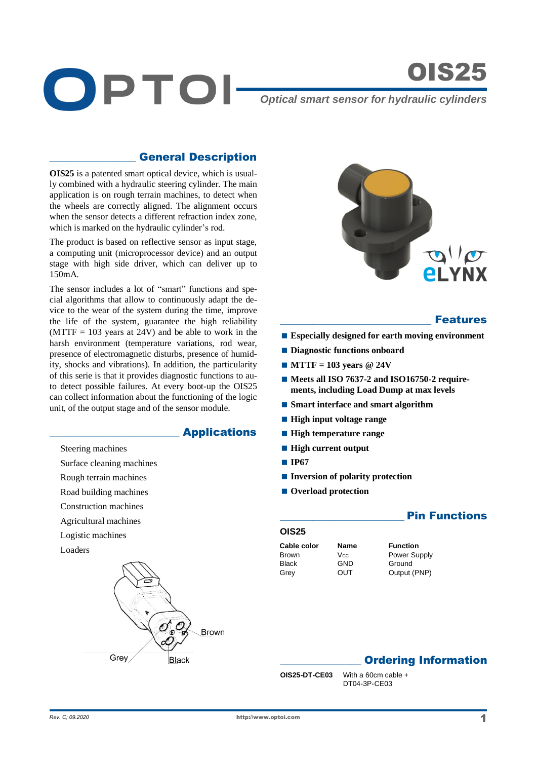

OIS25

*Optical smart sensor for hydraulic cylinders*

## \_\_\_\_\_\_\_\_\_\_\_\_\_\_\_\_ General Description

**OIS25** is a patented smart optical device, which is usually combined with a hydraulic steering cylinder. The main application is on rough terrain machines, to detect when the wheels are correctly aligned. The alignment occurs when the sensor detects a different refraction index zone, which is marked on the hydraulic cylinder's rod.

The product is based on reflective sensor as input stage, a computing unit (microprocessor device) and an output stage with high side driver, which can deliver up to 150mA.

The sensor includes a lot of "smart" functions and special algorithms that allow to continuously adapt the device to the wear of the system during the time, improve the life of the system, guarantee the high reliability  $(MTTF = 103$  years at 24V) and be able to work in the harsh environment (temperature variations, rod wear, presence of electromagnetic disturbs, presence of humidity, shocks and vibrations). In addition, the particularity of this serie is that it provides diagnostic functions to auto detect possible failures. At every boot-up the OIS25 can collect information about the functioning of the logic unit, of the output stage and of the sensor module.

#### \_\_\_\_\_\_\_\_\_\_\_\_\_\_\_\_\_\_\_\_\_\_\_\_ Applications

Steering machines

- Surface cleaning machines
- Rough terrain machines
- Road building machines
- Construction machines
- Agricultural machines
- Logistic machines
- Loaders





#### **Features**

- **Especially designed for earth moving environment**
- $\blacksquare$  Diagnostic functions onboard
- **MTTF = 103 years @ 24V**
- Meets all ISO 7637-2 and ISO16750-2 require**ments, including Load Dump at max levels**
- **Smart interface and smart algorithm**
- **High input voltage range**
- **High temperature range**
- **High current output**
- **IP67**
- **Inversion of polarity protection**
- Overload protection

## **OIS25**

- **Cable color Name Function** Black GND Ground
- Brown V<sub>cc</sub> Power Supply Grey OUT Output (PNP)

**Pin Functions** 

# **Ordering Information**

**OIS25-DT-CE03** With a 60cm cable + DT04-3P-CE03

http://www.optoi.com *Rev. C; 09.2020 P P <i>P P P P P P P P P P P P P P P P P P P P P P P P P P P P P P P P*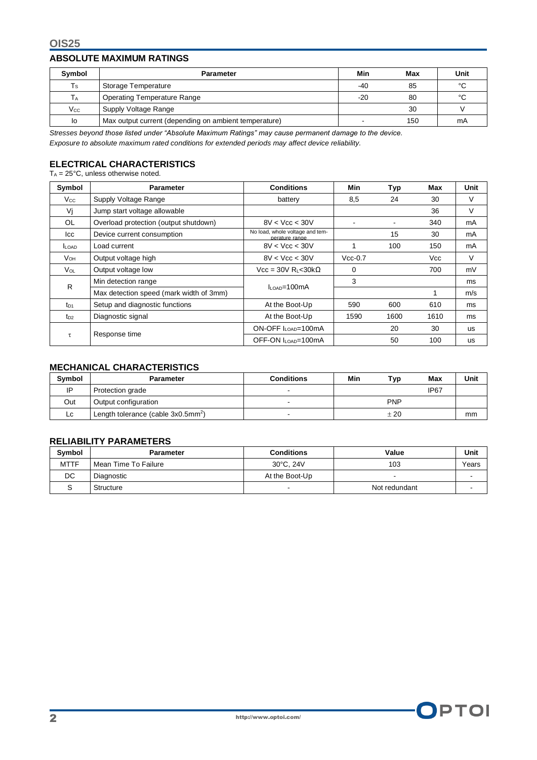#### **ABSOLUTE MAXIMUM RATINGS**

| Symbol       | <b>Parameter</b>                                      |       | Max | Unit |
|--------------|-------------------------------------------------------|-------|-----|------|
| Ts           | Storage Temperature                                   |       | 85  | °C   |
| ТA           | Operating Temperature Range                           | $-20$ | 80  | °С   |
| $V_{\rm CC}$ | Supply Voltage Range                                  |       | 30  |      |
| lo           | Max output current (depending on ambient temperature) |       | 150 | mA   |

*Stresses beyond those listed under "Absolute Maximum Ratings" may cause permanent damage to the device. Exposure to absolute maximum rated conditions for extended periods may affect device reliability.*

# **ELECTRICAL CHARACTERISTICS**

 $T_A = 25^\circ \text{C}$ , unless otherwise noted.

| Symbol          | <b>Parameter</b>                        | <b>Conditions</b>                                 | Min       | <b>Typ</b> | Max  | Unit      |
|-----------------|-----------------------------------------|---------------------------------------------------|-----------|------------|------|-----------|
| $V_{\rm CC}$    | Supply Voltage Range                    | battery                                           | 8,5       | 24         | 30   | V         |
| Vi              | Jump start voltage allowable            |                                                   |           |            | 36   | V         |
| <b>OL</b>       | Overload protection (output shutdown)   | 8V < Vcc < 30V                                    |           |            | 340  | mA        |
| lcc             | Device current consumption              | No load, whole voltage and tem-<br>perature range |           | 15         | 30   | mA        |
| <b>LOAD</b>     | Load current                            | 8V < Vcc < 30V                                    |           | 100        | 150  | mA        |
| V <sub>OH</sub> | Output voltage high                     | 8V < Vcc < 30V                                    | $Vcc-0.7$ |            | Vcc  | V         |
| $V_{OL}$        | Output voltage low                      | Vcc = 30V R <sub>L</sub> <30k $\Omega$            | $\Omega$  |            | 700  | mV        |
| $\mathsf{R}$    | Min detection range                     | $IL$ $\alpha$ $\sim$ = 100 mA                     | 3         |            |      | ms        |
|                 | Max detection speed (mark width of 3mm) |                                                   |           |            |      | m/s       |
| $t_{D1}$        | Setup and diagnostic functions          | At the Boot-Up                                    | 590       | 600        | 610  | ms        |
| $t_{D2}$        | Diagnostic signal                       | At the Boot-Up                                    | 1590      | 1600       | 1610 | ms        |
| τ               | Response time                           | ON-OFF ILOAD=100mA                                |           | 20         | 30   | <b>US</b> |
|                 |                                         | OFF-ON ILOAD=100mA                                |           | 50         | 100  | <b>us</b> |

## **MECHANICAL CHARACTERISTICS**

| <b>Symbol</b> | Parameter                                         | <b>Conditions</b> | Min | Typ        | Max              | Unit |
|---------------|---------------------------------------------------|-------------------|-----|------------|------------------|------|
| IP            | Protection grade                                  |                   |     |            | IP <sub>67</sub> |      |
| Out           | Output configuration                              |                   |     | <b>PNP</b> |                  |      |
| LC.           | Length tolerance (cable $3x0.5$ mm <sup>2</sup> ) |                   |     | ± 20       |                  | mm   |

## **RELIABILITY PARAMETERS**

| <b>Symbol</b> | Parameter            | <b>Conditions</b> | Value         | Unit  |
|---------------|----------------------|-------------------|---------------|-------|
| <b>MTTF</b>   | Mean Time To Failure | 30°C. 24V         | 103           | Years |
| DC            | Diagnostic           | At the Boot-Up    |               |       |
|               | Structure            |                   | Not redundant |       |

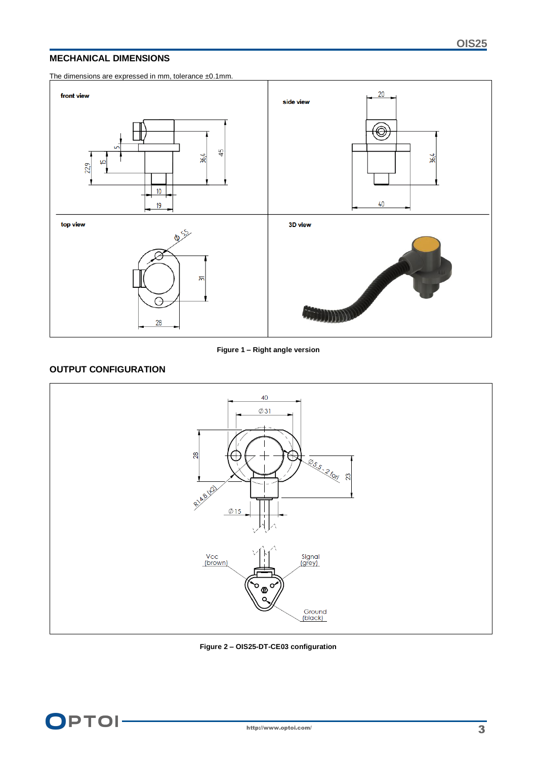#### **MECHANICAL DIMENSIONS**

The dimensions are expressed in mm, tolerance ±0.1mm.





## **OUTPUT CONFIGURATION**



**Figure 2 – OIS25-DT-CE03 configuration**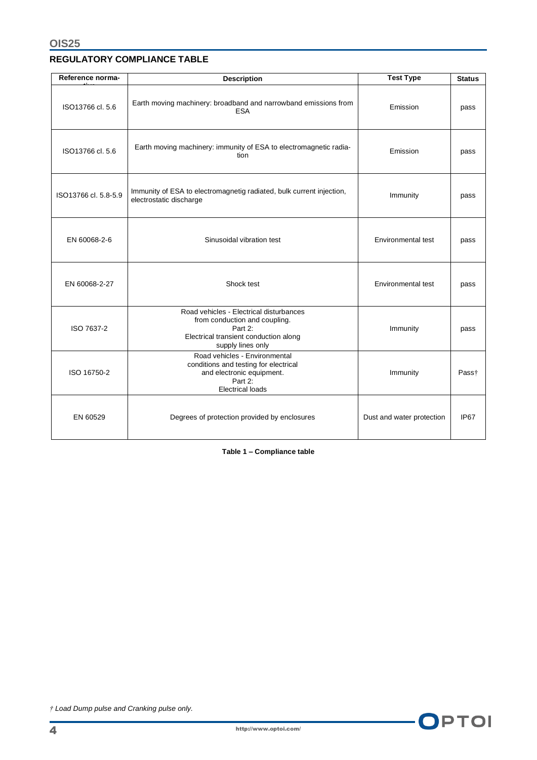## **REGULATORY COMPLIANCE TABLE**

| Reference norma-                                                                                                                                                | <b>Description</b>                                                                              | <b>Test Type</b>          | <b>Status</b>     |
|-----------------------------------------------------------------------------------------------------------------------------------------------------------------|-------------------------------------------------------------------------------------------------|---------------------------|-------------------|
| ISO13766 cl. 5.6                                                                                                                                                | Earth moving machinery: broadband and narrowband emissions from<br><b>ESA</b>                   | Emission                  | pass              |
| ISO13766 cl. 5.6                                                                                                                                                | Earth moving machinery: immunity of ESA to electromagnetic radia-<br>tion                       | Emission                  | pass              |
| ISO13766 cl. 5.8-5.9                                                                                                                                            | Immunity of ESA to electromagnetig radiated, bulk current injection,<br>electrostatic discharge | Immunity                  | pass              |
| EN 60068-2-6                                                                                                                                                    | Sinusoidal vibration test                                                                       | Environmental test        | pass              |
| EN 60068-2-27<br>Shock test                                                                                                                                     |                                                                                                 | Environmental test        | pass              |
| Road vehicles - Electrical disturbances<br>from conduction and coupling.<br>ISO 7637-2<br>Part 2:<br>Electrical transient conduction along<br>supply lines only |                                                                                                 | Immunity                  | pass              |
| Road vehicles - Environmental<br>conditions and testing for electrical<br>ISO 16750-2<br>and electronic equipment.<br>Part 2:<br><b>Electrical loads</b>        |                                                                                                 | Immunity                  | Pass <sup>†</sup> |
| EN 60529                                                                                                                                                        | Degrees of protection provided by enclosures                                                    | Dust and water protection | IP67              |

**Table 1 – Compliance table**

*† Load Dump pulse and Cranking pulse only.*

OPTOI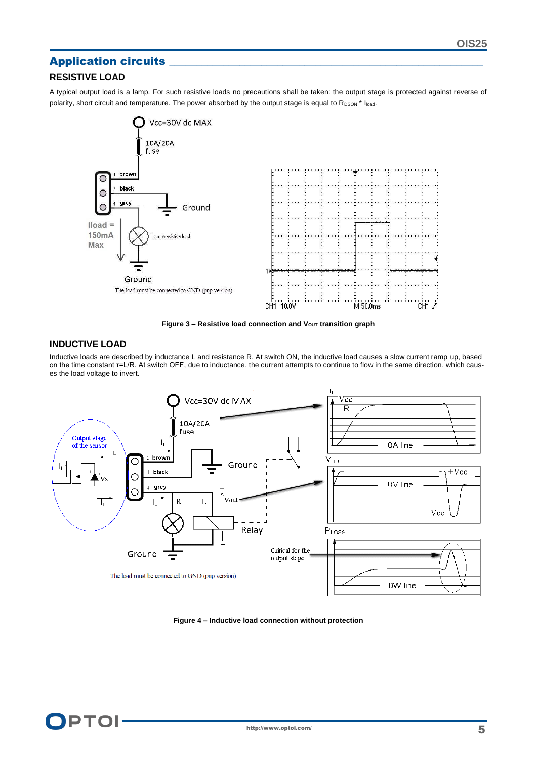# Application circuits

## **RESISTIVE LOAD**

A typical output load is a lamp. For such resistive loads no precautions shall be taken: the output stage is protected against reverse of polarity, short circuit and temperature. The power absorbed by the output stage is equal to RDSON \* Iload.



**Figure 3 - Resistive load connection and V<sub>OUT</sub> transition graph** 

#### **INDUCTIVE LOAD**

Inductive loads are described by inductance L and resistance R. At switch ON, the inductive load causes a slow current ramp up, based on the time constant τ=L/R. At switch OFF, due to inductance, the current attempts to continue to flow in the same direction, which causes the load voltage to invert.



**Figure 4 – Inductive load connection without protection**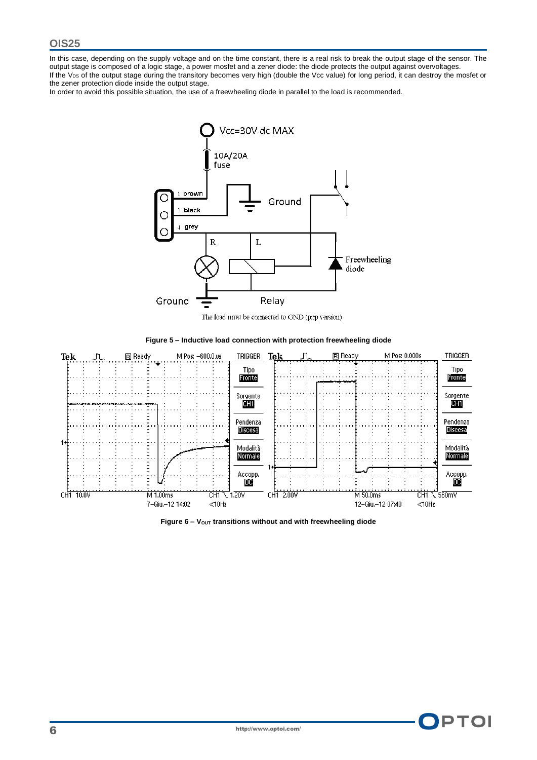In this case, depending on the supply voltage and on the time constant, there is a real risk to break the output stage of the sensor. The output stage is composed of a logic stage, a power mosfet and a zener diode: the diode protects the output against overvoltages. If the  $V_{DS}$  of the output stage during the transitory becomes very high (double the Vcc value) for long period, it can destroy the mosfet or the zener protection diode inside the output stage.

In order to avoid this possible situation, the use of a freewheeling diode in parallel to the load is recommended.



The load must be connected to GND (pnp version)







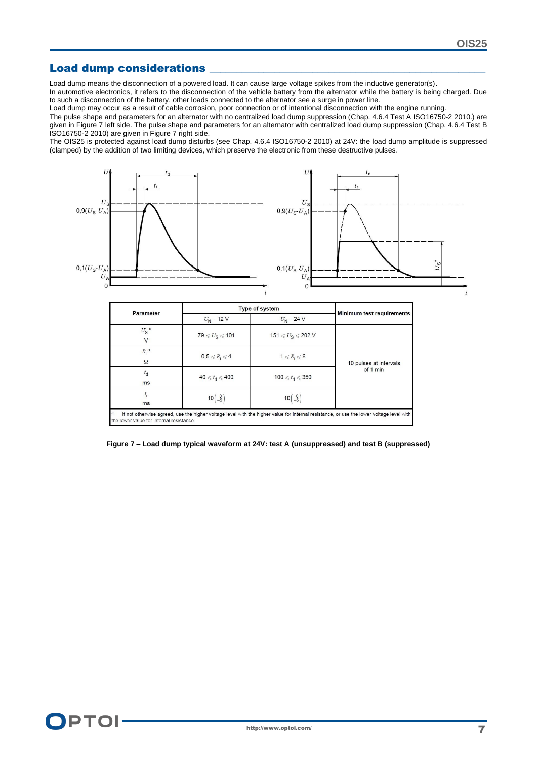## Load dump considerations

Load dump means the disconnection of a powered load. It can cause large voltage spikes from the inductive generator(s).

In automotive electronics, it refers to the disconnection of the vehicle battery from the alternator while the battery is being charged. Due to such a disconnection of the battery, other loads connected to the alternator see a surge in power line.

Load dump may occur as a result of cable corrosion, poor connection or of intentional disconnection with the engine running.

The pulse shape and parameters for an alternator with no centralized load dump suppression (Chap. 4.6.4 Test A ISO16750-2 2010.) are given in Figure 7 left side. The pulse shape and parameters for an alternator with centralized load dump suppression (Chap. 4.6.4 Test B ISO16750-2 2010) are given in Figure 7 right side.

The OIS25 is protected against load dump disturbs (see Chap. 4.6.4 ISO16750-2 2010) at 24V: the load dump amplitude is suppressed (clamped) by the addition of two limiting devices, which preserve the electronic from these destructive pulses.



| Parameter                                                                                                                                                                                 |                                           | Type of system                            |                           |
|-------------------------------------------------------------------------------------------------------------------------------------------------------------------------------------------|-------------------------------------------|-------------------------------------------|---------------------------|
|                                                                                                                                                                                           | $U_{N}$ = 12 V                            | $U_N = 24 V$                              | Minimum test requirements |
| $U_{\rm S}^{\rm a}$                                                                                                                                                                       | $79 \le U_{\rm S} \le 101$                | $151 \le U_{\rm S} \le 202$ V             |                           |
| $R_i$ <sup>a</sup><br>$\Omega$                                                                                                                                                            | $0,5 \leq R_i \leq 4$                     | $1 \leq R_i \leq 8$                       | 10 pulses at intervals    |
| $^{I}$ d<br>ms                                                                                                                                                                            | $40 \leqslant t_d \leqslant 400$          | 100 $\le t_d \le 350$                     | of 1 min                  |
| ms                                                                                                                                                                                        | $10\begin{pmatrix} 0 \\ -5 \end{pmatrix}$ | $10\begin{pmatrix} 0 \\ -5 \end{pmatrix}$ |                           |
| a<br>If not otherwise agreed, use the higher voltage level with the higher value for internal resistance, or use the lower voltage level with<br>the lower value for internal resistance. |                                           |                                           |                           |

**Figure 7 – Load dump typical waveform at 24V: test A (unsuppressed) and test B (suppressed)**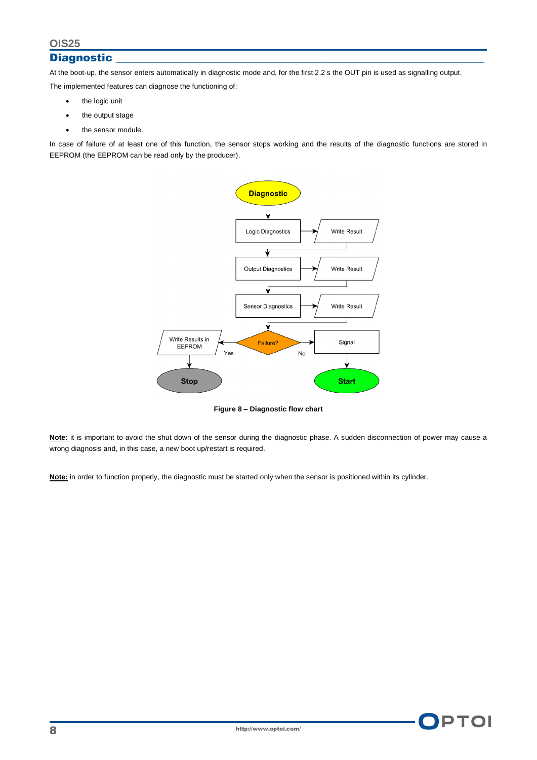## **Diagnostic**

At the boot-up, the sensor enters automatically in diagnostic mode and, for the first 2.2 s the OUT pin is used as signalling output.

The implemented features can diagnose the functioning of:

- the logic unit
- the output stage
- the sensor module.

In case of failure of at least one of this function, the sensor stops working and the results of the diagnostic functions are stored in EEPROM (the EEPROM can be read only by the producer).



**Figure 8 – Diagnostic flow chart**

Note: it is important to avoid the shut down of the sensor during the diagnostic phase. A sudden disconnection of power may cause a wrong diagnosis and, in this case, a new boot up/restart is required.

Note: in order to function properly, the diagnostic must be started only when the sensor is positioned within its cylinder.

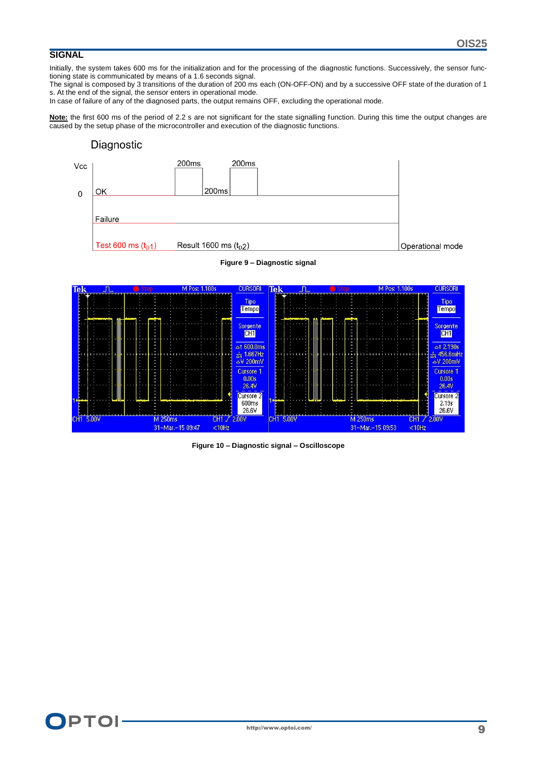# **SIGNAL**

Initially, the system takes 600 ms for the initialization and for the processing of the diagnostic functions. Successively, the sensor functioning state is communicated by means of a 1.6 seconds signal.

The signal is composed by 3 transitions of the duration of 200 ms each (ON-OFF-ON) and by a successive OFF state of the duration of 1 s. At the end of the signal, the sensor enters in operational mode.

In case of failure of any of the diagnosed parts, the output remains OFF, excluding the operational mode.

Note: the first 600 ms of the period of 2.2 s are not significant for the state signalling function. During this time the output changes are caused by the setup phase of the microcontroller and execution of the diagnostic functions.

## Diagnostic





**Figure 9 – Diagnostic signal**

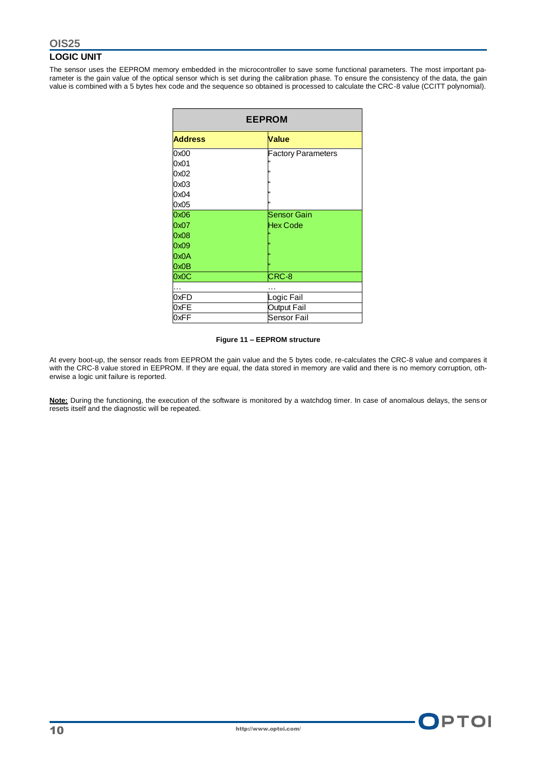## **LOGIC UNIT**

The sensor uses the EEPROM memory embedded in the microcontroller to save some functional parameters. The most important parameter is the gain value of the optical sensor which is set during the calibration phase. To ensure the consistency of the data, the gain value is combined with a 5 bytes hex code and the sequence so obtained is processed to calculate the CRC-8 value (CCITT polynomial).

| <b>EEPROM</b>  |                           |  |  |
|----------------|---------------------------|--|--|
| <b>Address</b> | <b>Value</b>              |  |  |
| 0x00           | <b>Factory Parameters</b> |  |  |
| 0x01           | k٤                        |  |  |
| 0x02           | 66                        |  |  |
| 0x03           | l٤٤                       |  |  |
| 0x04           | l٤٤                       |  |  |
| 0x05           | k                         |  |  |
| 0x06           | <b>Sensor Gain</b>        |  |  |
| 0x07           | <b>Hex Code</b>           |  |  |
| 0x08           | œ                         |  |  |
| 0x09           | ĸ                         |  |  |
| 0x0A           | ĸ                         |  |  |
| 0x0B           | k                         |  |  |
| 0x0C           | CRC-8                     |  |  |
| .              |                           |  |  |
| 0xFD           | Logic Fail                |  |  |
| 0xFE           | Output Fail               |  |  |
| 0xFF           | Sensor Fail               |  |  |

#### **Figure 11 – EEPROM structure**

At every boot-up, the sensor reads from EEPROM the gain value and the 5 bytes code, re-calculates the CRC-8 value and compares it with the CRC-8 value stored in EEPROM. If they are equal, the data stored in memory are valid and there is no memory corruption, otherwise a logic unit failure is reported.

**Note:** During the functioning, the execution of the software is monitored by a watchdog timer. In case of anomalous delays, the sensor resets itself and the diagnostic will be repeated.